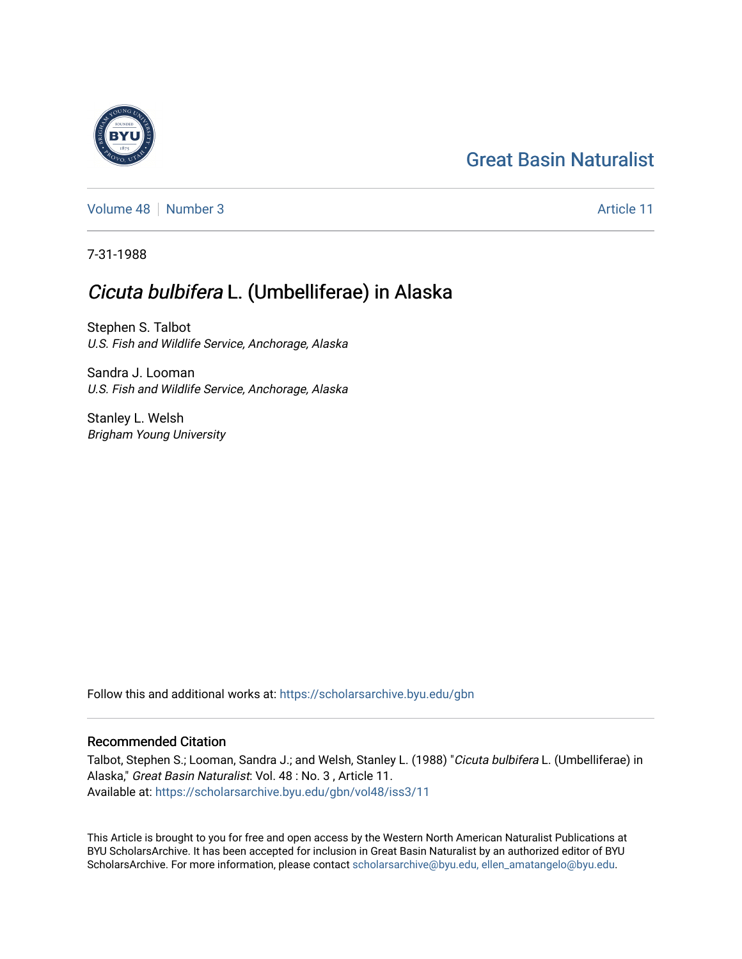## [Great Basin Naturalist](https://scholarsarchive.byu.edu/gbn)

[Volume 48](https://scholarsarchive.byu.edu/gbn/vol48) [Number 3](https://scholarsarchive.byu.edu/gbn/vol48/iss3) Article 11

7-31-1988

## Cicuta bulbifera L. (Umbelliferae) in Alaska

Stephen S. Talbot U.S. Fish and Wildlife Service, Anchorage, Alaska

Sandra J. Looman U.S. Fish and Wildlife Service, Anchorage, Alaska

Stanley L. Welsh Brigham Young University

Follow this and additional works at: [https://scholarsarchive.byu.edu/gbn](https://scholarsarchive.byu.edu/gbn?utm_source=scholarsarchive.byu.edu%2Fgbn%2Fvol48%2Fiss3%2F11&utm_medium=PDF&utm_campaign=PDFCoverPages) 

## Recommended Citation

Talbot, Stephen S.; Looman, Sandra J.; and Welsh, Stanley L. (1988) "Cicuta bulbifera L. (Umbelliferae) in Alaska," Great Basin Naturalist: Vol. 48 : No. 3 , Article 11. Available at: [https://scholarsarchive.byu.edu/gbn/vol48/iss3/11](https://scholarsarchive.byu.edu/gbn/vol48/iss3/11?utm_source=scholarsarchive.byu.edu%2Fgbn%2Fvol48%2Fiss3%2F11&utm_medium=PDF&utm_campaign=PDFCoverPages) 

This Article is brought to you for free and open access by the Western North American Naturalist Publications at BYU ScholarsArchive. It has been accepted for inclusion in Great Basin Naturalist by an authorized editor of BYU ScholarsArchive. For more information, please contact [scholarsarchive@byu.edu, ellen\\_amatangelo@byu.edu.](mailto:scholarsarchive@byu.edu,%20ellen_amatangelo@byu.edu)